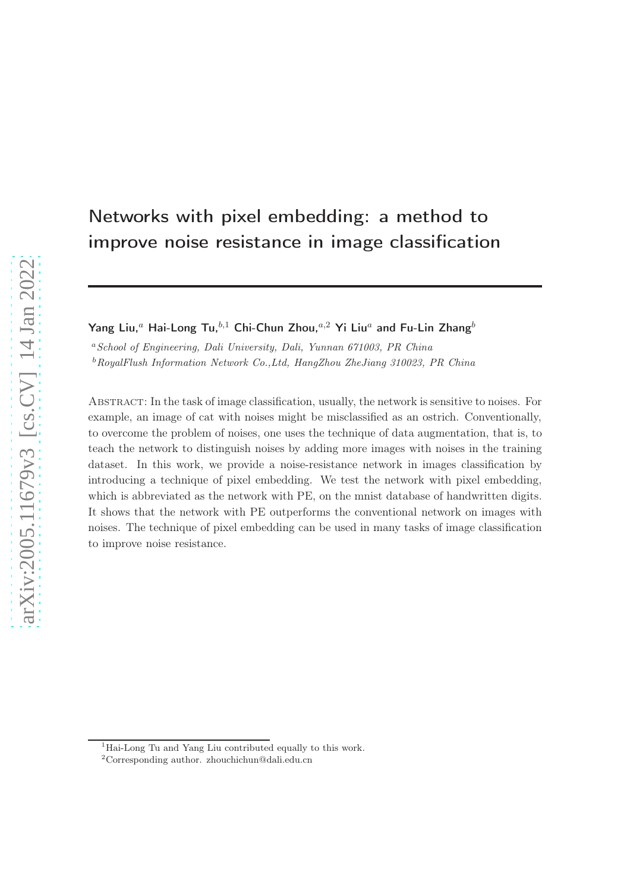# Networks with pixel embedding: a method to improve noise resistance in image classification

Yang Liu,<sup>a</sup> Hai-Long Tu,<sup>b,1</sup> Chi-Chun Zhou,<sup>a,2</sup> Yi Liu<sup>a</sup> and Fu-Lin Zhang<sup>b</sup>

<sup>a</sup>School of Engineering, Dali University, Dali, Yunnan 671003, PR China  $b$ RoyalFlush Information Network Co., Ltd, HangZhou ZheJiang 310023, PR China

Abstract: In the task of image classification, usually, the network is sensitive to noises. For example, an image of cat with noises might be misclassified as an ostrich. Conventionally, to overcome the problem of noises, one uses the technique of data augmentation, that is, to teach the network to distinguish noises by adding more images with noises in the training dataset. In this work, we provide a noise-resistance network in images classification by introducing a technique of pixel embedding. We test the network with pixel embedding, which is abbreviated as the network with PE, on the mnist database of handwritten digits. It shows that the network with PE outperforms the conventional network on images with noises. The technique of pixel embedding can be used in many tasks of image classification to improve noise resistance.

<sup>1</sup>Hai-Long Tu and Yang Liu contributed equally to this work.

<sup>2</sup>Corresponding author. zhouchichun@dali.edu.cn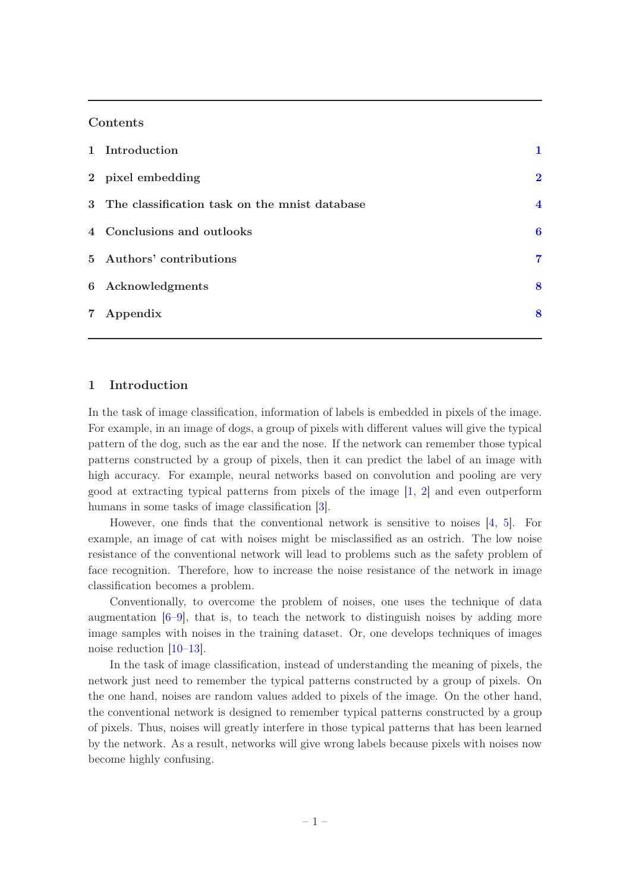### Contents

| 1 Introduction                                  |                         |
|-------------------------------------------------|-------------------------|
| 2 pixel embedding                               | $\mathbf 2$             |
| 3 The classification task on the mnist database | $\overline{\mathbf{4}}$ |
| 4 Conclusions and outlooks                      | 6                       |
| 5 Authors' contributions                        | 7                       |
| 6 Acknowledgments                               | 8                       |
| 7 Appendix                                      | 8                       |
|                                                 |                         |

#### <span id="page-1-0"></span>1 Introduction

In the task of image classification, information of labels is embedded in pixels of the image. For example, in an image of dogs, a group of pixels with different values will give the typical pattern of the dog, such as the ear and the nose. If the network can remember those typical patterns constructed by a group of pixels, then it can predict the label of an image with high accuracy. For example, neural networks based on convolution and pooling are very good at extracting typical patterns from pixels of the image [\[1](#page-8-2), [2](#page-8-3)] and even outperform humans in some tasks of image classification [\[3](#page-8-4)].

However, one finds that the conventional network is sensitive to noises  $[4, 5]$  $[4, 5]$ . For example, an image of cat with noises might be misclassified as an ostrich. The low noise resistance of the conventional network will lead to problems such as the safety problem of face recognition. Therefore, how to increase the noise resistance of the network in image classification becomes a problem.

Conventionally, to overcome the problem of noises, one uses the technique of data augmentation  $[6-9]$ , that is, to teach the network to distinguish noises by adding more image samples with noises in the training dataset. Or, one develops techniques of images noise reduction [\[10](#page-9-2)[–13\]](#page-9-3).

In the task of image classification, instead of understanding the meaning of pixels, the network just need to remember the typical patterns constructed by a group of pixels. On the one hand, noises are random values added to pixels of the image. On the other hand, the conventional network is designed to remember typical patterns constructed by a group of pixels. Thus, noises will greatly interfere in those typical patterns that has been learned by the network. As a result, networks will give wrong labels because pixels with noises now become highly confusing.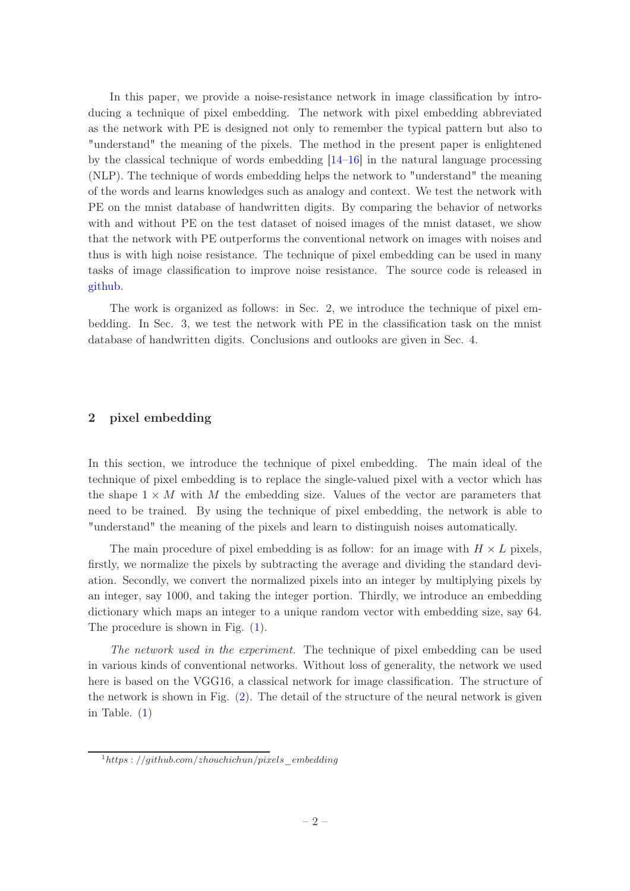In this paper, we provide a noise-resistance network in image classification by introducing a technique of pixel embedding. The network with pixel embedding abbreviated as the network with PE is designed not only to remember the typical pattern but also to "understand" the meaning of the pixels. The method in the present paper is enlightened by the classical technique of words embedding [\[14](#page-9-4)[–16](#page-9-5)] in the natural language processing (NLP). The technique of words embedding helps the network to "understand" the meaning of the words and learns knowledges such as analogy and context. We test the network with PE on the mnist database of handwritten digits. By comparing the behavior of networks with and without PE on the test dataset of noised images of the mnist dataset, we show that the network with PE outperforms the conventional network on images with noises and thus is with high noise resistance. The technique of pixel embedding can be used in many tasks of image classification to improve noise resistance. The source code is released in [github.](https://github.com/zhouchichun/pixels_embedding)

The work is organized as follows: in Sec. 2, we introduce the technique of pixel embedding. In Sec. 3, we test the network with PE in the classification task on the mnist database of handwritten digits. Conclusions and outlooks are given in Sec. 4.

#### <span id="page-2-0"></span>2 pixel embedding

In this section, we introduce the technique of pixel embedding. The main ideal of the technique of pixel embedding is to replace the single-valued pixel with a vector which has the shape  $1 \times M$  with M the embedding size. Values of the vector are parameters that need to be trained. By using the technique of pixel embedding, the network is able to "understand" the meaning of the pixels and learn to distinguish noises automatically.

The main procedure of pixel embedding is as follow: for an image with  $H \times L$  pixels, firstly, we normalize the pixels by subtracting the average and dividing the standard deviation. Secondly, we convert the normalized pixels into an integer by multiplying pixels by an integer, say 1000, and taking the integer portion. Thirdly, we introduce an embedding dictionary which maps an integer to a unique random vector with embedding size, say 64. The procedure is shown in Fig. [\(1\)](#page-3-0).

The network used in the experiment. The technique of pixel embedding can be used in various kinds of conventional networks. Without loss of generality, the network we used here is based on the VGG16, a classical network for image classification. The structure of the network is shown in Fig. [\(2\)](#page-3-1). The detail of the structure of the neural network is given in Table.  $(1)$ 

 $1<sup>1</sup>$ https : //github.com/zhouchichun/pixels\_embedding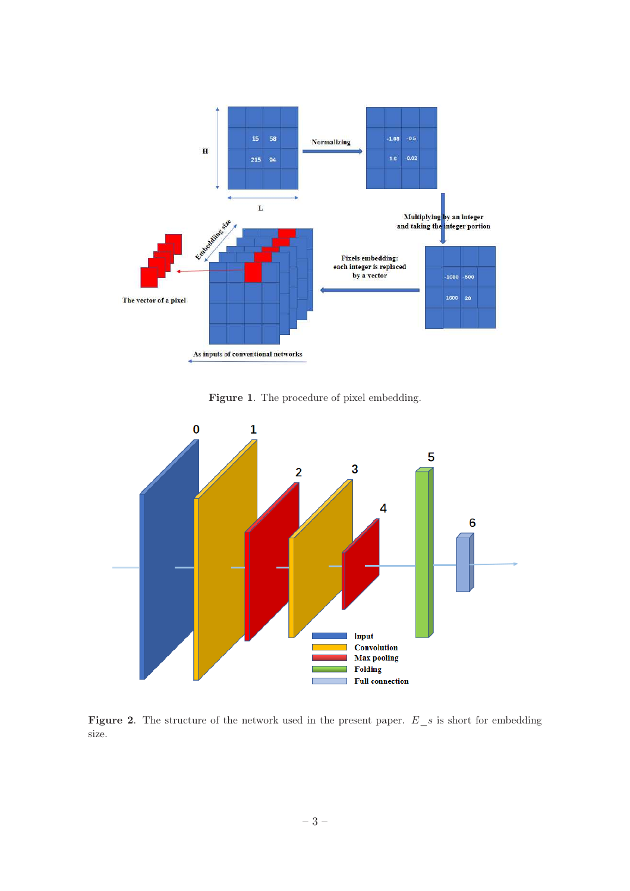

<span id="page-3-0"></span>Figure 1. The procedure of pixel embedding.



<span id="page-3-1"></span>Figure 2. The structure of the network used in the present paper.  $E_s$  is short for embedding size.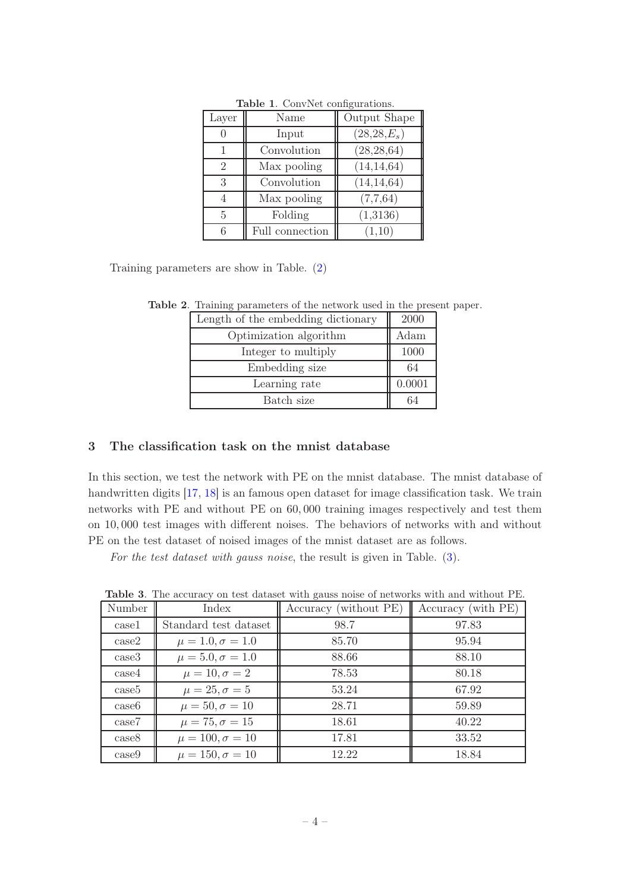| Layer | Name            | Output Shape    |
|-------|-----------------|-----------------|
|       | Input           | $(28, 28, E_s)$ |
|       | Convolution     | (28, 28, 64)    |
| 2     | Max pooling     | (14, 14, 64)    |
| 3     | Convolution     | (14, 14, 64)    |
| 4     | Max pooling     | (7,7,64)        |
| 5     | Folding         | (1,3136)        |
|       | Full connection | (1,10)          |

<span id="page-4-1"></span>Table 1. ConvNet configurations.

Training parameters are show in Table. [\(2\)](#page-4-2)

<span id="page-4-2"></span>

| Length of the embedding dictionary | 2000   |
|------------------------------------|--------|
| Optimization algorithm             | Adam   |
| Integer to multiply                | 1000   |
| Embedding size                     | 64     |
| Learning rate                      | 0.0001 |
| Batch size                         |        |

Table 2. Training parameters of the network used in the present paper.

## <span id="page-4-0"></span>3 The classification task on the mnist database

In this section, we test the network with PE on the mnist database. The mnist database of handwritten digits [\[17](#page-9-6), [18\]](#page-9-7) is an famous open dataset for image classification task. We train networks with PE and without PE on 60, 000 training images respectively and test them on 10, 000 test images with different noises. The behaviors of networks with and without PE on the test dataset of noised images of the mnist dataset are as follows.

For the test dataset with gauss noise, the result is given in Table. [\(3\)](#page-4-3).

| Number            | Index                     | Accuracy (without PE) | Accuracy (with PE) |
|-------------------|---------------------------|-----------------------|--------------------|
| case1             | Standard test dataset     | 98.7                  | 97.83              |
| case2             | $\mu = 1.0, \sigma = 1.0$ | 85.70                 | 95.94              |
| case3             | $\mu = 5.0, \sigma = 1.0$ | 88.66                 | 88.10              |
| case4             | $\mu = 10, \sigma = 2$    | 78.53                 | 80.18              |
| case <sub>5</sub> | $\mu = 25, \sigma = 5$    | 53.24                 | 67.92              |
| case <sub>6</sub> | $\mu = 50, \sigma = 10$   | 28.71                 | 59.89              |
| case7             | $\mu = 75, \sigma = 15$   | 18.61                 | 40.22              |
| case8             | $\mu = 100, \sigma = 10$  | 17.81                 | 33.52              |
| case9             | $\mu = 150, \sigma = 10$  | 12.22                 | 18.84              |

<span id="page-4-3"></span>Table 3. The accuracy on test dataset with gauss noise of networks with and without PE.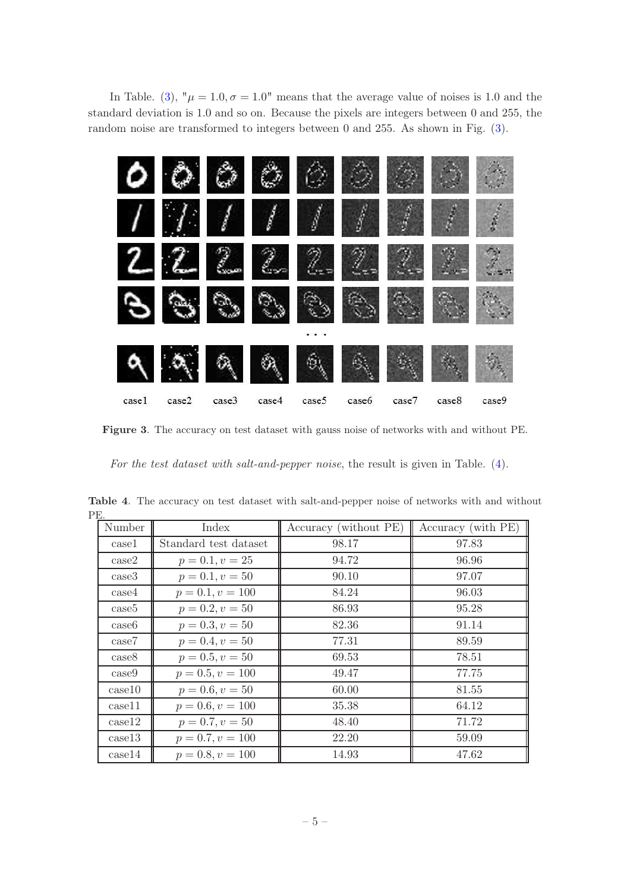In Table. [\(3\)](#page-4-3),  $\mu = 1.0$ ,  $\sigma = 1.0$ " means that the average value of noises is 1.0 and the standard deviation is 1.0 and so on. Because the pixels are integers between 0 and 255, the random noise are transformed to integers between 0 and 255. As shown in Fig. [\(3\)](#page-5-0).



Figure 3. The accuracy on test dataset with gauss noise of networks with and without PE.

<span id="page-5-0"></span>For the test dataset with salt-and-pepper noise, the result is given in Table. [\(4\)](#page-5-1).

<span id="page-5-1"></span>

| ٠H.               |                       |                       |                    |
|-------------------|-----------------------|-----------------------|--------------------|
| Number            | Index                 | Accuracy (without PE) | Accuracy (with PE) |
| case1             | Standard test dataset | 98.17                 | 97.83              |
| case2             | $p = 0.1, v = 25$     | 94.72                 | 96.96              |
| case3             | $p = 0.1, v = 50$     | 90.10                 | 97.07              |
| case4             | $p = 0.1, v = 100$    | 84.24                 | 96.03              |
| case5             | $p = 0.2, v = 50$     | 86.93                 | 95.28              |
| case <sub>6</sub> | $p = 0.3, v = 50$     | 82.36                 | 91.14              |
| case7             | $p = 0.4, v = 50$     | 77.31                 | 89.59              |
| case8             | $p = 0.5, v = 50$     | 69.53                 | 78.51              |
| case9             | $p = 0.5, v = 100$    | 49.47                 | 77.75              |
| case10            | $p = 0.6, v = 50$     | 60.00                 | 81.55              |
| case11            | $p = 0.6, v = 100$    | 35.38                 | 64.12              |
| case12            | $p = 0.7, v = 50$     | 48.40                 | 71.72              |
| case13            | $p = 0.7, v = 100$    | 22.20                 | 59.09              |
| case14            | $p = 0.8, v = 100$    | 14.93                 | 47.62              |

Table 4. The accuracy on test dataset with salt-and-pepper noise of networks with and without PE.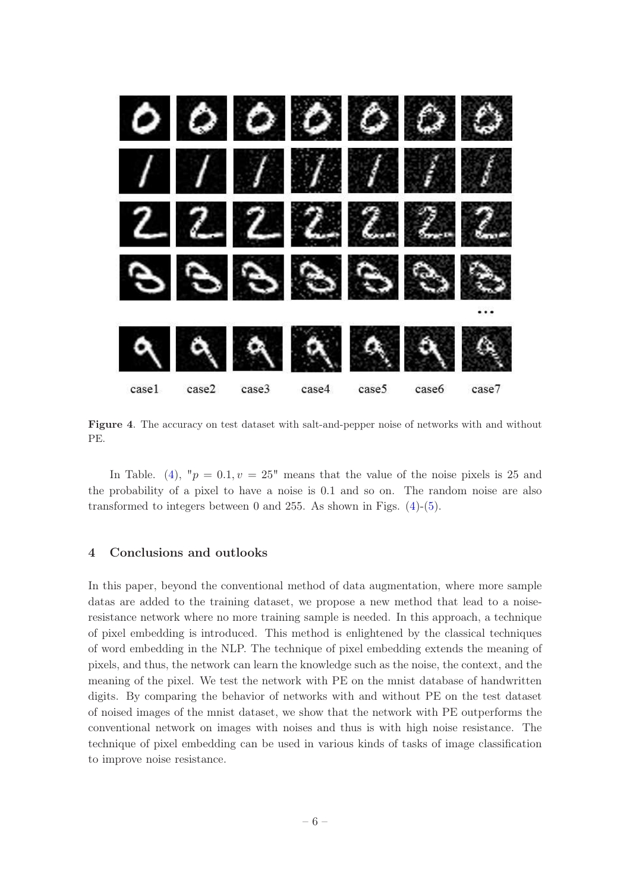

Figure 4. The accuracy on test dataset with salt-and-pepper noise of networks with and without PE.

<span id="page-6-1"></span>In Table. [\(4\)](#page-5-1), " $p = 0.1, v = 25$ " means that the value of the noise pixels is 25 and the probability of a pixel to have a noise is 0.1 and so on. The random noise are also transformed to integers between 0 and 255. As shown in Figs.  $(4)-(5)$  $(4)-(5)$ .

#### <span id="page-6-0"></span>4 Conclusions and outlooks

In this paper, beyond the conventional method of data augmentation, where more sample datas are added to the training dataset, we propose a new method that lead to a noiseresistance network where no more training sample is needed. In this approach, a technique of pixel embedding is introduced. This method is enlightened by the classical techniques of word embedding in the NLP. The technique of pixel embedding extends the meaning of pixels, and thus, the network can learn the knowledge such as the noise, the context, and the meaning of the pixel. We test the network with PE on the mnist database of handwritten digits. By comparing the behavior of networks with and without PE on the test dataset of noised images of the mnist dataset, we show that the network with PE outperforms the conventional network on images with noises and thus is with high noise resistance. The technique of pixel embedding can be used in various kinds of tasks of image classification to improve noise resistance.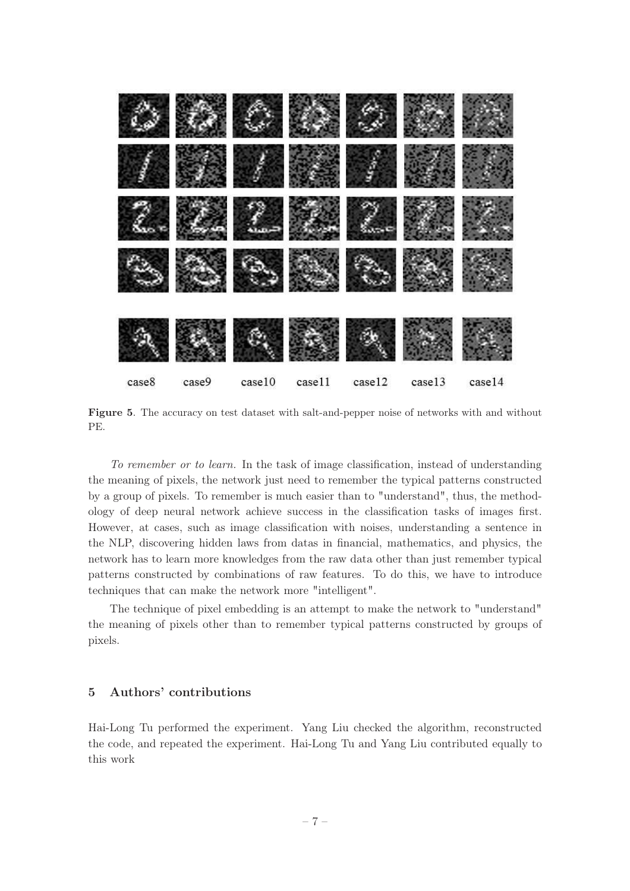

Figure 5. The accuracy on test dataset with salt-and-pepper noise of networks with and without PE.

<span id="page-7-1"></span>To remember or to learn. In the task of image classification, instead of understanding the meaning of pixels, the network just need to remember the typical patterns constructed by a group of pixels. To remember is much easier than to "understand", thus, the methodology of deep neural network achieve success in the classification tasks of images first. However, at cases, such as image classification with noises, understanding a sentence in the NLP, discovering hidden laws from datas in financial, mathematics, and physics, the network has to learn more knowledges from the raw data other than just remember typical patterns constructed by combinations of raw features. To do this, we have to introduce techniques that can make the network more "intelligent".

The technique of pixel embedding is an attempt to make the network to "understand" the meaning of pixels other than to remember typical patterns constructed by groups of pixels.

## <span id="page-7-0"></span>5 Authors' contributions

Hai-Long Tu performed the experiment. Yang Liu checked the algorithm, reconstructed the code, and repeated the experiment. Hai-Long Tu and Yang Liu contributed equally to this work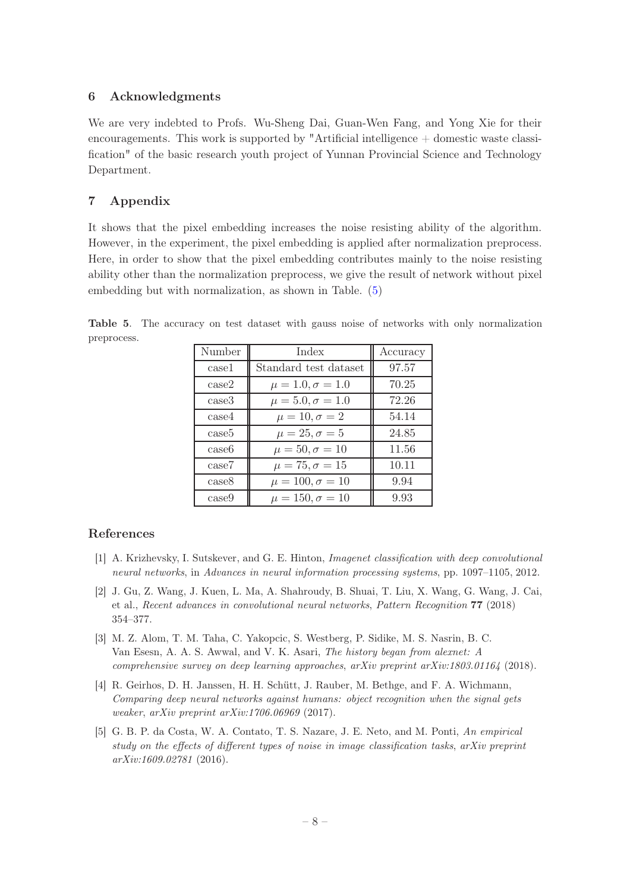## <span id="page-8-0"></span>6 Acknowledgments

We are very indebted to Profs. Wu-Sheng Dai, Guan-Wen Fang, and Yong Xie for their encouragements. This work is supported by "Artificial intelligence  $+$  domestic waste classification" of the basic research youth project of Yunnan Provincial Science and Technology Department.

# <span id="page-8-1"></span>7 Appendix

It shows that the pixel embedding increases the noise resisting ability of the algorithm. However, in the experiment, the pixel embedding is applied after normalization preprocess. Here, in order to show that the pixel embedding contributes mainly to the noise resisting ability other than the normalization preprocess, we give the result of network without pixel embedding but with normalization, as shown in Table. [\(5\)](#page-8-7)

<span id="page-8-7"></span>

| Number            | Index                     | Accuracy |
|-------------------|---------------------------|----------|
| case1             | Standard test dataset     | 97.57    |
| case2             | $\mu = 1.0, \sigma = 1.0$ | 70.25    |
| case3             | $\mu = 5.0, \sigma = 1.0$ | 72.26    |
| case4             | $\mu = 10, \sigma = 2$    | 54.14    |
| case5             | $\mu = 25, \sigma = 5$    | 24.85    |
| case <sub>6</sub> | $\mu = 50, \sigma = 10$   | 11.56    |
| case7             | $\mu = 75, \sigma = 15$   | 10.11    |
| case <sub>8</sub> | $\mu = 100, \sigma = 10$  | 9.94     |
| case9             | $\mu = 150, \sigma = 10$  | 9.93     |

Table 5. The accuracy on test dataset with gauss noise of networks with only normalization preprocess.

## References

- <span id="page-8-2"></span>[1] A. Krizhevsky, I. Sutskever, and G. E. Hinton, Imagenet classification with deep convolutional neural networks, in Advances in neural information processing systems, pp. 1097–1105, 2012.
- <span id="page-8-3"></span>[2] J. Gu, Z. Wang, J. Kuen, L. Ma, A. Shahroudy, B. Shuai, T. Liu, X. Wang, G. Wang, J. Cai, et al., Recent advances in convolutional neural networks, Pattern Recognition 77 (2018) 354–377.
- <span id="page-8-4"></span>[3] M. Z. Alom, T. M. Taha, C. Yakopcic, S. Westberg, P. Sidike, M. S. Nasrin, B. C. Van Esesn, A. A. S. Awwal, and V. K. Asari, The history began from alexnet: A comprehensive survey on deep learning approaches, arXiv preprint arXiv:1803.01164 (2018).
- <span id="page-8-5"></span>[4] R. Geirhos, D. H. Janssen, H. H. Schütt, J. Rauber, M. Bethge, and F. A. Wichmann, Comparing deep neural networks against humans: object recognition when the signal gets weaker, arXiv preprint arXiv:1706.06969 (2017).
- <span id="page-8-6"></span>[5] G. B. P. da Costa, W. A. Contato, T. S. Nazare, J. E. Neto, and M. Ponti, An empirical study on the effects of different types of noise in image classification tasks, arXiv preprint arXiv:1609.02781 (2016).